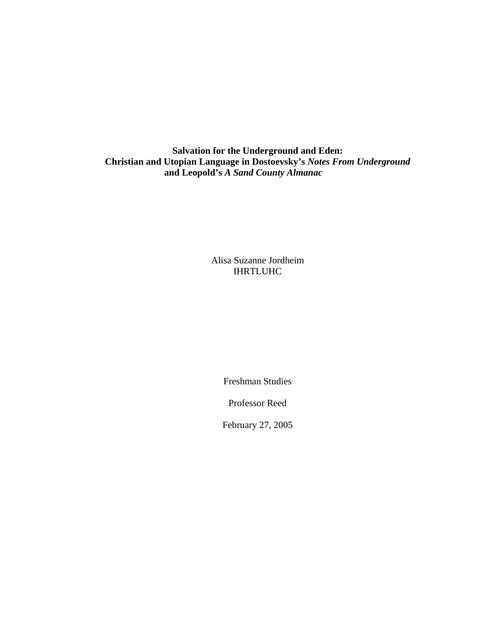**Salvation for the Underground and Eden: Christian and Utopian Language in Dostoevsky's** *Notes From Underground* **and Leopold's** *A Sand County Almanac* 

> Alisa Suzanne Jordheim IHRTLUHC

> > Freshman Studies

Professor Reed

February 27, 2005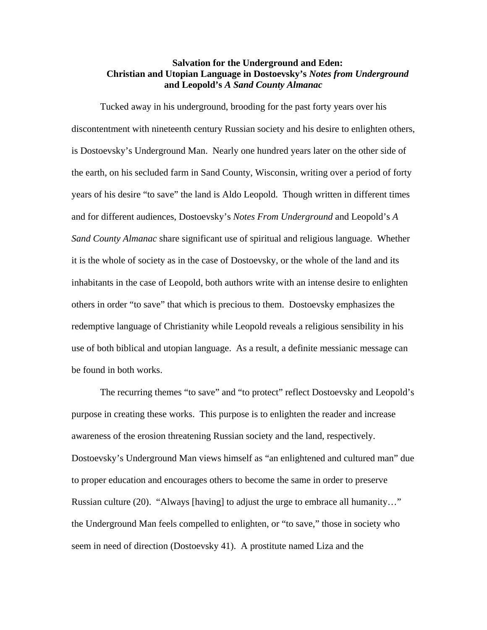## **Salvation for the Underground and Eden: Christian and Utopian Language in Dostoevsky's** *Notes from Underground* **and Leopold's** *A Sand County Almanac*

Tucked away in his underground, brooding for the past forty years over his discontentment with nineteenth century Russian society and his desire to enlighten others, is Dostoevsky's Underground Man. Nearly one hundred years later on the other side of the earth, on his secluded farm in Sand County, Wisconsin, writing over a period of forty years of his desire "to save" the land is Aldo Leopold. Though written in different times and for different audiences, Dostoevsky's *Notes From Underground* and Leopold's *A Sand County Almanac* share significant use of spiritual and religious language. Whether it is the whole of society as in the case of Dostoevsky, or the whole of the land and its inhabitants in the case of Leopold, both authors write with an intense desire to enlighten others in order "to save" that which is precious to them. Dostoevsky emphasizes the redemptive language of Christianity while Leopold reveals a religious sensibility in his use of both biblical and utopian language. As a result, a definite messianic message can be found in both works.

The recurring themes "to save" and "to protect" reflect Dostoevsky and Leopold's purpose in creating these works. This purpose is to enlighten the reader and increase awareness of the erosion threatening Russian society and the land, respectively. Dostoevsky's Underground Man views himself as "an enlightened and cultured man" due to proper education and encourages others to become the same in order to preserve Russian culture (20). "Always [having] to adjust the urge to embrace all humanity…" the Underground Man feels compelled to enlighten, or "to save," those in society who seem in need of direction (Dostoevsky 41). A prostitute named Liza and the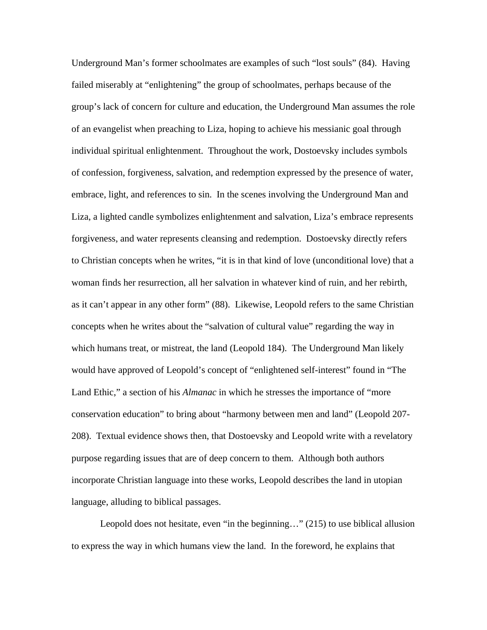Underground Man's former schoolmates are examples of such "lost souls" (84). Having failed miserably at "enlightening" the group of schoolmates, perhaps because of the group's lack of concern for culture and education, the Underground Man assumes the role of an evangelist when preaching to Liza, hoping to achieve his messianic goal through individual spiritual enlightenment. Throughout the work, Dostoevsky includes symbols of confession, forgiveness, salvation, and redemption expressed by the presence of water, embrace, light, and references to sin. In the scenes involving the Underground Man and Liza, a lighted candle symbolizes enlightenment and salvation, Liza's embrace represents forgiveness, and water represents cleansing and redemption. Dostoevsky directly refers to Christian concepts when he writes, "it is in that kind of love (unconditional love) that a woman finds her resurrection, all her salvation in whatever kind of ruin, and her rebirth, as it can't appear in any other form" (88). Likewise, Leopold refers to the same Christian concepts when he writes about the "salvation of cultural value" regarding the way in which humans treat, or mistreat, the land (Leopold 184). The Underground Man likely would have approved of Leopold's concept of "enlightened self-interest" found in "The Land Ethic," a section of his *Almanac* in which he stresses the importance of "more conservation education" to bring about "harmony between men and land" (Leopold 207- 208). Textual evidence shows then, that Dostoevsky and Leopold write with a revelatory purpose regarding issues that are of deep concern to them. Although both authors incorporate Christian language into these works, Leopold describes the land in utopian language, alluding to biblical passages.

Leopold does not hesitate, even "in the beginning…" (215) to use biblical allusion to express the way in which humans view the land. In the foreword, he explains that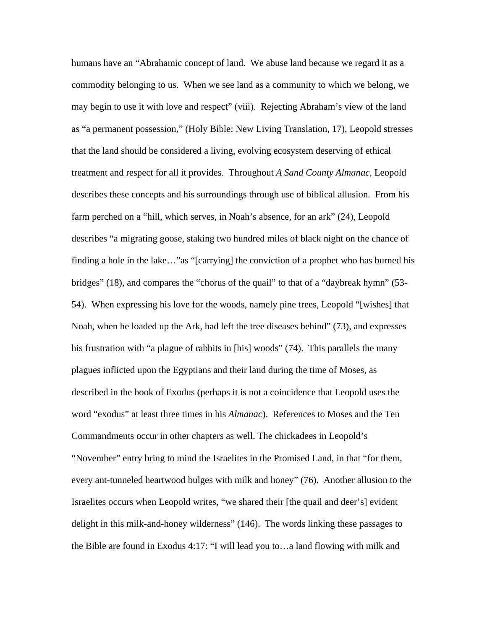humans have an "Abrahamic concept of land. We abuse land because we regard it as a commodity belonging to us. When we see land as a community to which we belong, we may begin to use it with love and respect" (viii). Rejecting Abraham's view of the land as "a permanent possession," (Holy Bible: New Living Translation, 17), Leopold stresses that the land should be considered a living, evolving ecosystem deserving of ethical treatment and respect for all it provides. Throughout *A Sand County Almanac*, Leopold describes these concepts and his surroundings through use of biblical allusion. From his farm perched on a "hill, which serves, in Noah's absence, for an ark" (24), Leopold describes "a migrating goose, staking two hundred miles of black night on the chance of finding a hole in the lake…"as "[carrying] the conviction of a prophet who has burned his bridges" (18), and compares the "chorus of the quail" to that of a "daybreak hymn" (53- 54). When expressing his love for the woods, namely pine trees, Leopold "[wishes] that Noah, when he loaded up the Ark, had left the tree diseases behind" (73), and expresses his frustration with "a plague of rabbits in [his] woods" (74). This parallels the many plagues inflicted upon the Egyptians and their land during the time of Moses, as described in the book of Exodus (perhaps it is not a coincidence that Leopold uses the word "exodus" at least three times in his *Almanac*). References to Moses and the Ten Commandments occur in other chapters as well. The chickadees in Leopold's "November" entry bring to mind the Israelites in the Promised Land, in that "for them, every ant-tunneled heartwood bulges with milk and honey" (76). Another allusion to the Israelites occurs when Leopold writes, "we shared their [the quail and deer's] evident delight in this milk-and-honey wilderness" (146). The words linking these passages to the Bible are found in Exodus 4:17: "I will lead you to…a land flowing with milk and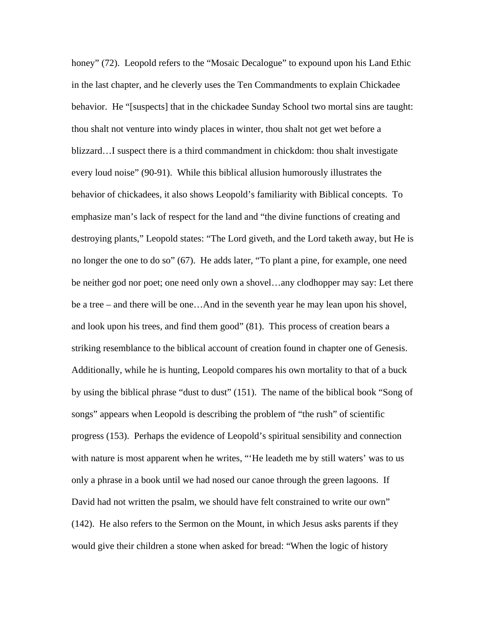honey" (72). Leopold refers to the "Mosaic Decalogue" to expound upon his Land Ethic in the last chapter, and he cleverly uses the Ten Commandments to explain Chickadee behavior. He "[suspects] that in the chickadee Sunday School two mortal sins are taught: thou shalt not venture into windy places in winter, thou shalt not get wet before a blizzard…I suspect there is a third commandment in chickdom: thou shalt investigate every loud noise" (90-91). While this biblical allusion humorously illustrates the behavior of chickadees, it also shows Leopold's familiarity with Biblical concepts. To emphasize man's lack of respect for the land and "the divine functions of creating and destroying plants," Leopold states: "The Lord giveth, and the Lord taketh away, but He is no longer the one to do so" (67). He adds later, "To plant a pine, for example, one need be neither god nor poet; one need only own a shovel…any clodhopper may say: Let there be a tree – and there will be one…And in the seventh year he may lean upon his shovel, and look upon his trees, and find them good" (81). This process of creation bears a striking resemblance to the biblical account of creation found in chapter one of Genesis. Additionally, while he is hunting, Leopold compares his own mortality to that of a buck by using the biblical phrase "dust to dust" (151). The name of the biblical book "Song of songs" appears when Leopold is describing the problem of "the rush" of scientific progress (153). Perhaps the evidence of Leopold's spiritual sensibility and connection with nature is most apparent when he writes, "He leadeth me by still waters' was to us only a phrase in a book until we had nosed our canoe through the green lagoons. If David had not written the psalm, we should have felt constrained to write our own" (142). He also refers to the Sermon on the Mount, in which Jesus asks parents if they would give their children a stone when asked for bread: "When the logic of history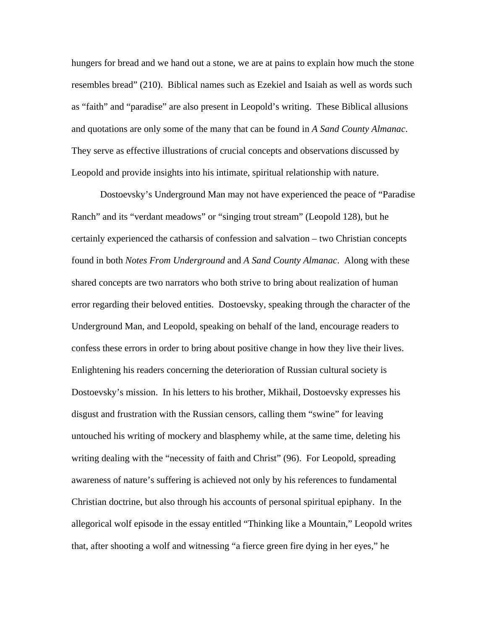hungers for bread and we hand out a stone, we are at pains to explain how much the stone resembles bread" (210). Biblical names such as Ezekiel and Isaiah as well as words such as "faith" and "paradise" are also present in Leopold's writing. These Biblical allusions and quotations are only some of the many that can be found in *A Sand County Almanac*. They serve as effective illustrations of crucial concepts and observations discussed by Leopold and provide insights into his intimate, spiritual relationship with nature.

Dostoevsky's Underground Man may not have experienced the peace of "Paradise Ranch" and its "verdant meadows" or "singing trout stream" (Leopold 128), but he certainly experienced the catharsis of confession and salvation – two Christian concepts found in both *Notes From Underground* and *A Sand County Almanac*. Along with these shared concepts are two narrators who both strive to bring about realization of human error regarding their beloved entities. Dostoevsky, speaking through the character of the Underground Man, and Leopold, speaking on behalf of the land, encourage readers to confess these errors in order to bring about positive change in how they live their lives. Enlightening his readers concerning the deterioration of Russian cultural society is Dostoevsky's mission. In his letters to his brother, Mikhail, Dostoevsky expresses his disgust and frustration with the Russian censors, calling them "swine" for leaving untouched his writing of mockery and blasphemy while, at the same time, deleting his writing dealing with the "necessity of faith and Christ" (96). For Leopold, spreading awareness of nature's suffering is achieved not only by his references to fundamental Christian doctrine, but also through his accounts of personal spiritual epiphany. In the allegorical wolf episode in the essay entitled "Thinking like a Mountain," Leopold writes that, after shooting a wolf and witnessing "a fierce green fire dying in her eyes," he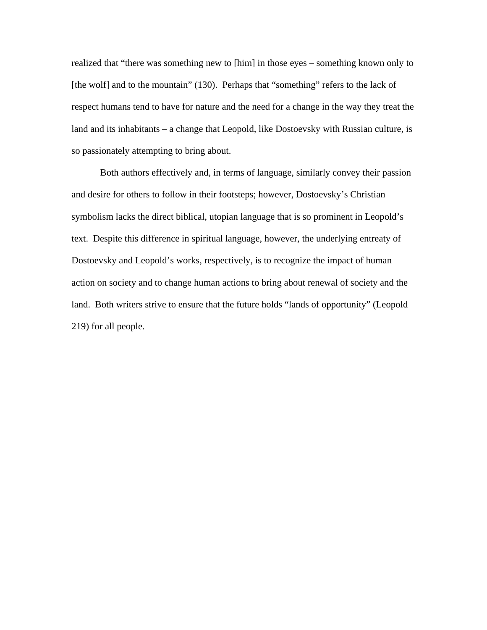realized that "there was something new to [him] in those eyes – something known only to [the wolf] and to the mountain" (130). Perhaps that "something" refers to the lack of respect humans tend to have for nature and the need for a change in the way they treat the land and its inhabitants – a change that Leopold, like Dostoevsky with Russian culture, is so passionately attempting to bring about.

Both authors effectively and, in terms of language, similarly convey their passion and desire for others to follow in their footsteps; however, Dostoevsky's Christian symbolism lacks the direct biblical, utopian language that is so prominent in Leopold's text. Despite this difference in spiritual language, however, the underlying entreaty of Dostoevsky and Leopold's works, respectively, is to recognize the impact of human action on society and to change human actions to bring about renewal of society and the land. Both writers strive to ensure that the future holds "lands of opportunity" (Leopold 219) for all people.